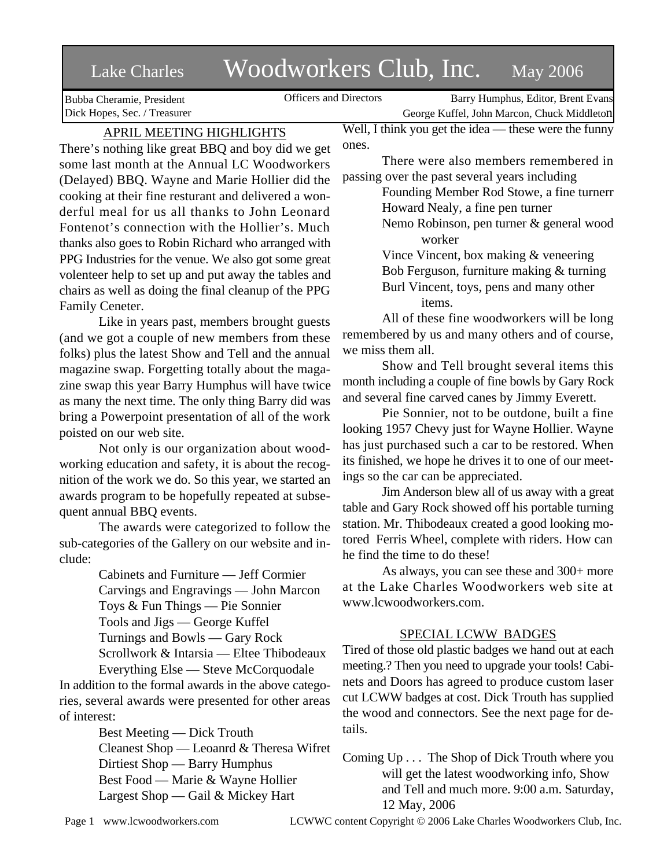# Lake Charles Woodworkers Club, Inc. May 2006

Bubba Cheramie, President Dick Hopes, Sec. / Treasurer

Officers and Directors Barry Humphus, Editor, Brent Evans George Kuffel, John Marcon, Chuck Middleton

APRIL MEETING HIGHLIGHTS

There's nothing like great BBQ and boy did we get some last month at the Annual LC Woodworkers (Delayed) BBQ. Wayne and Marie Hollier did the cooking at their fine resturant and delivered a wonderful meal for us all thanks to John Leonard Fontenot's connection with the Hollier's. Much thanks also goes to Robin Richard who arranged with PPG Industries for the venue. We also got some great volenteer help to set up and put away the tables and chairs as well as doing the final cleanup of the PPG Family Ceneter.

Like in years past, members brought guests (and we got a couple of new members from these folks) plus the latest Show and Tell and the annual magazine swap. Forgetting totally about the magazine swap this year Barry Humphus will have twice as many the next time. The only thing Barry did was bring a Powerpoint presentation of all of the work poisted on our web site.

Not only is our organization about woodworking education and safety, it is about the recognition of the work we do. So this year, we started an awards program to be hopefully repeated at subsequent annual BBQ events.

The awards were categorized to follow the sub-categories of the Gallery on our website and include:

> Cabinets and Furniture — Jeff Cormier Carvings and Engravings — John Marcon Toys & Fun Things — Pie Sonnier Tools and Jigs — George Kuffel Turnings and Bowls — Gary Rock Scrollwork & Intarsia — Eltee Thibodeaux

Everything Else — Steve McCorquodale In addition to the formal awards in the above categories, several awards were presented for other areas of interest:

> Best Meeting — Dick Trouth Cleanest Shop — Leoanrd & Theresa Wifret Dirtiest Shop — Barry Humphus Best Food — Marie & Wayne Hollier Largest Shop — Gail & Mickey Hart

Well, I think you get the idea — these were the funny ones.

There were also members remembered in passing over the past several years including

> Founding Member Rod Stowe, a fine turnerr Howard Nealy, a fine pen turner

Nemo Robinson, pen turner & general wood worker

Vince Vincent, box making & veneering Bob Ferguson, furniture making & turning Burl Vincent, toys, pens and many other items.

All of these fine woodworkers will be long remembered by us and many others and of course, we miss them all.

Show and Tell brought several items this month including a couple of fine bowls by Gary Rock and several fine carved canes by Jimmy Everett.

Pie Sonnier, not to be outdone, built a fine looking 1957 Chevy just for Wayne Hollier. Wayne has just purchased such a car to be restored. When its finished, we hope he drives it to one of our meetings so the car can be appreciated.

Jim Anderson blew all of us away with a great table and Gary Rock showed off his portable turning station. Mr. Thibodeaux created a good looking motored Ferris Wheel, complete with riders. How can he find the time to do these!

As always, you can see these and 300+ more at the Lake Charles Woodworkers web site at www.lcwoodworkers.com.

# SPECIAL LCWW BADGES

Tired of those old plastic badges we hand out at each meeting.? Then you need to upgrade your tools! Cabinets and Doors has agreed to produce custom laser cut LCWW badges at cost. Dick Trouth has supplied the wood and connectors. See the next page for details.

Coming Up . . . The Shop of Dick Trouth where you will get the latest woodworking info, Show and Tell and much more. 9:00 a.m. Saturday, 12 May, 2006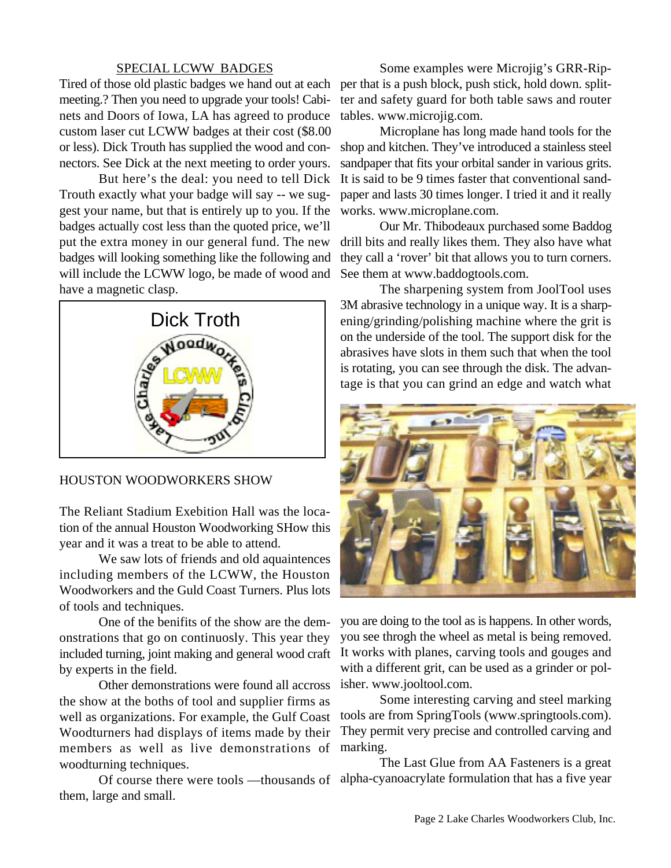#### SPECIAL LCWW BADGES

Tired of those old plastic badges we hand out at each per that is a push block, push stick, hold down. splitmeeting.? Then you need to upgrade your tools! Cabinets and Doors of Iowa, LA has agreed to produce custom laser cut LCWW badges at their cost (\$8.00 or less). Dick Trouth has supplied the wood and connectors. See Dick at the next meeting to order yours.

But here's the deal: you need to tell Dick Trouth exactly what your badge will say -- we suggest your name, but that is entirely up to you. If the badges actually cost less than the quoted price, we'll put the extra money in our general fund. The new badges will looking something like the following and will include the LCWW logo, be made of wood and have a magnetic clasp.



#### HOUSTON WOODWORKERS SHOW

The Reliant Stadium Exebition Hall was the location of the annual Houston Woodworking SHow this year and it was a treat to be able to attend.

We saw lots of friends and old aquaintences including members of the LCWW, the Houston Woodworkers and the Guld Coast Turners. Plus lots of tools and techniques.

One of the benifits of the show are the demonstrations that go on continuosly. This year they included turning, joint making and general wood craft by experts in the field.

Other demonstrations were found all accross the show at the boths of tool and supplier firms as well as organizations. For example, the Gulf Coast Woodturners had displays of items made by their members as well as live demonstrations of woodturning techniques.

them, large and small.

Some examples were Microjig's GRR-Ripter and safety guard for both table saws and router tables. www.microjig.com.

Microplane has long made hand tools for the shop and kitchen. They've introduced a stainless steel sandpaper that fits your orbital sander in various grits. It is said to be 9 times faster that conventional sandpaper and lasts 30 times longer. I tried it and it really works. www.microplane.com.

Our Mr. Thibodeaux purchased some Baddog drill bits and really likes them. They also have what they call a 'rover' bit that allows you to turn corners. See them at www.baddogtools.com.

The sharpening system from JoolTool uses 3M abrasive technology in a unique way. It is a sharpening/grinding/polishing machine where the grit is on the underside of the tool. The support disk for the abrasives have slots in them such that when the tool is rotating, you can see through the disk. The advantage is that you can grind an edge and watch what



you are doing to the tool as is happens. In other words, you see throgh the wheel as metal is being removed. It works with planes, carving tools and gouges and with a different grit, can be used as a grinder or polisher. www.jooltool.com.

Some interesting carving and steel marking tools are from SpringTools (www.springtools.com). They permit very precise and controlled carving and marking.

Of course there were tools —thousands of alpha-cyanoacrylate formulation that has a five yearThe Last Glue from AA Fasteners is a great